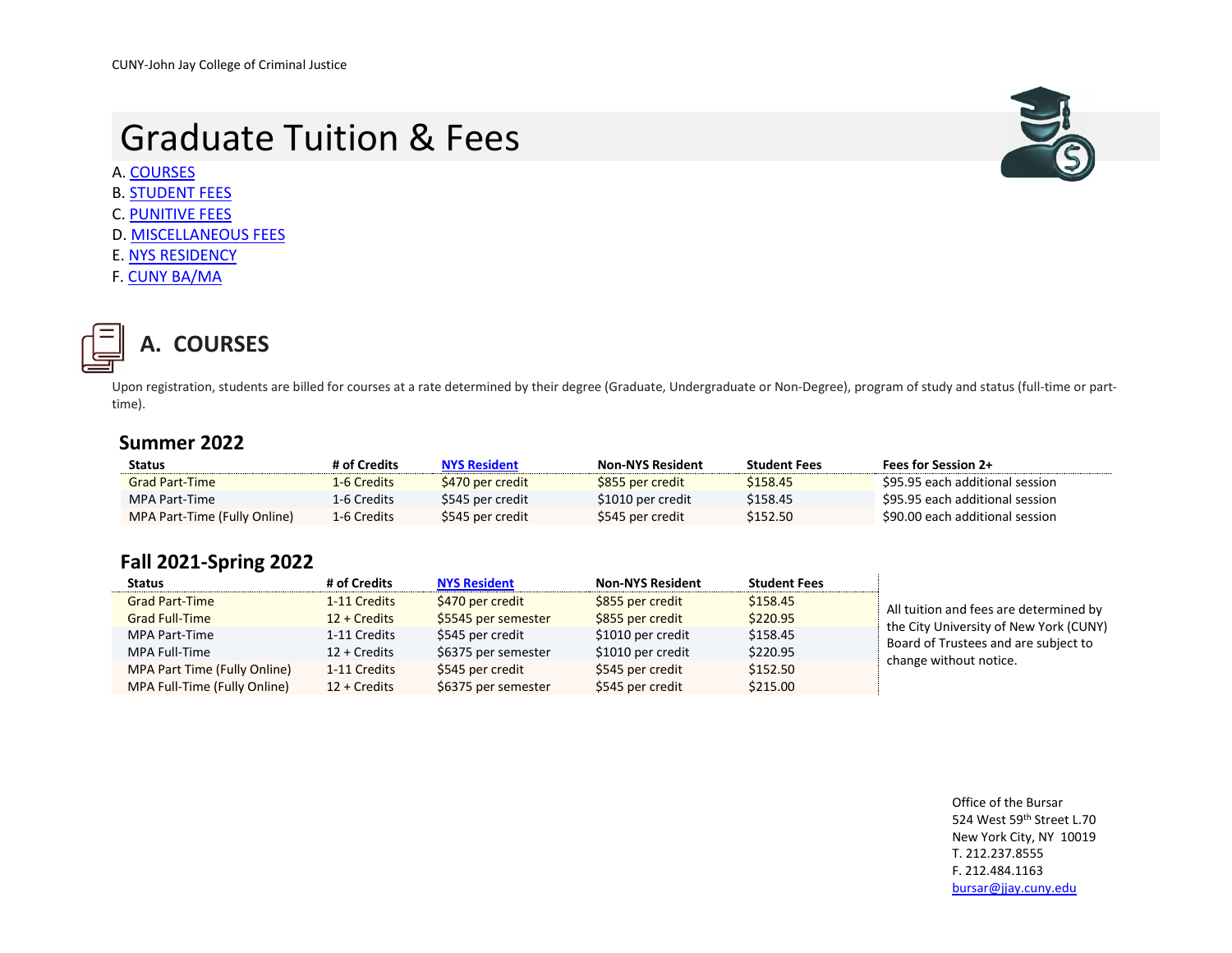# Graduate Tuition & Fees

A[. COURSES](#page-0-0)

- B. [STUDENT FEES](#page-1-0)
- C. [PUNITIVE FEES](#page-2-0)
- D. [MISCELLANEOUS FEES](#page-3-0)
- E[. NYS RESIDENCY](#page-3-1)
- F. [CUNY BA/MA](#page-3-2)



### <span id="page-0-0"></span>**A. COURSES**

Upon registration, students are billed for courses at a rate determined by their degree (Graduate, Undergraduate or Non-Degree), program of study and status (full-time or parttime).

#### **Summer 2022**

| <b>Status</b>                | # of Credits | <b>NYS Resident</b> | <b>Non-NYS Resident</b> | <b>Student Fees</b> | <b>Fees for Session 2+</b>      |
|------------------------------|--------------|---------------------|-------------------------|---------------------|---------------------------------|
| <b>Grad Part-Time</b>        | 1-6 Credits  | \$470 per credit    | \$855 per credit        | \$158.45            | \$95.95 each additional session |
| MPA Part-Time                | 1-6 Credits  | \$545 per credit    | \$1010 per credit       | \$158.45            | \$95.95 each additional session |
| MPA Part-Time (Fully Online) | 1-6 Credits  | \$545 per credit    | S545 per credit         | \$152.50            | \$90.00 each additional session |

#### **Fall 2021-Spring 2022**

| <b>Status</b>                | # of Credits    | <b>NYS Resident</b> | <b>Non-NYS Resident</b> | <b>Student Fees</b> |                                        |
|------------------------------|-----------------|---------------------|-------------------------|---------------------|----------------------------------------|
| <b>Grad Part-Time</b>        | 1-11 Credits    | \$470 per credit    | \$855 per credit        | \$158.45            | All tuition and fees are determined by |
| <b>Grad Full-Time</b>        | $12 + C$ redits | \$5545 per semester | \$855 per credit        | \$220.95            | the City University of New York (CUNY) |
| MPA Part-Time                | 1-11 Credits    | \$545 per credit    | \$1010 per credit       | \$158.45            | Board of Trustees and are subject to   |
| MPA Full-Time                | $12 + C$ redits | \$6375 per semester | \$1010 per credit       | \$220.95            | change without notice.                 |
| MPA Part Time (Fully Online) | 1-11 Credits    | \$545 per credit    | \$545 per credit        | \$152.50            |                                        |
| MPA Full-Time (Fully Online) | 12 + Credits    | \$6375 per semester | \$545 per credit        | \$215.00            |                                        |

Office of the Bursar 524 West 59th Street L.70 New York City, NY 10019 T. 212.237.8555 F. 212.484.1163 [bursar@jjay.cuny.edu](mailto:bursar@jjay.cuny.edu)

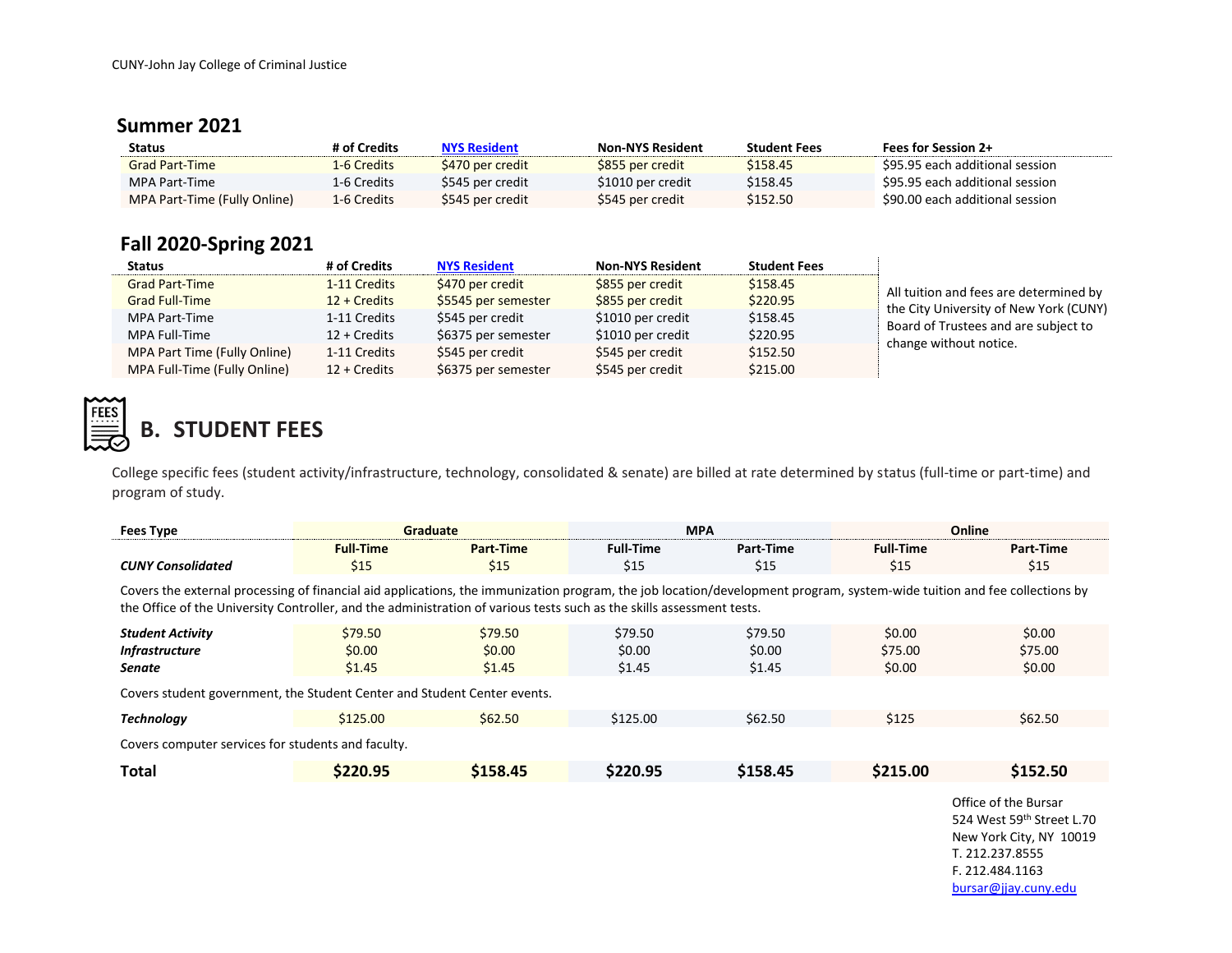#### **Summer 2021**

| <b>Status</b>                | # of Credits | <b>NYS Resident</b> | <b>Non-NYS Resident</b> | <b>Student Fees</b> | <b>Fees for Session 2+</b>      |
|------------------------------|--------------|---------------------|-------------------------|---------------------|---------------------------------|
| <b>Grad Part-Time</b>        | 1-6 Credits  | \$470 per credit    | \$855 per credit        | \$158.45            | \$95.95 each additional session |
| MPA Part-Time                | 1-6 Credits  | \$545 per credit    | \$1010 per credit       | \$158.45            | \$95.95 each additional session |
| MPA Part-Time (Fully Online) | 1-6 Credits  | \$545 per credit    | \$545 per credit        | \$152.50            | \$90.00 each additional session |

### **Fall 2020-Spring 2021**

| <b>Status</b>                | # of Credits    | <b>NYS Resident</b> | <b>Non-NYS Resident</b> | <b>Student Fees</b> |                                        |
|------------------------------|-----------------|---------------------|-------------------------|---------------------|----------------------------------------|
| <b>Grad Part-Time</b>        | 1-11 Credits    | \$470 per credit    | \$855 per credit        | \$158.45            | All tuition and fees are determined by |
| <b>Grad Full-Time</b>        | $12 + C$ redits | \$5545 per semester | \$855 per credit        | \$220.95            | the City University of New York (CUNY) |
| MPA Part-Time                | 1-11 Credits    | \$545 per credit    | \$1010 per credit       | \$158.45            | Board of Trustees and are subject to   |
| MPA Full-Time                | 12 + Credits    | \$6375 per semester | \$1010 per credit       | \$220.95            | change without notice.                 |
| MPA Part Time (Fully Online) | 1-11 Credits    | \$545 per credit    | \$545 per credit        | \$152.50            |                                        |
| MPA Full-Time (Fully Online) | $12 + C$ redits | \$6375 per semester | \$545 per credit        | \$215.00            |                                        |



## <span id="page-1-0"></span>**B. STUDENT FEES**

College specific fees (student activity/infrastructure, technology, consolidated & senate) are billed at rate determined by status (full-time or part-time) and program of study.

| <b>Fees Type</b>                                                         | <b>Graduate</b>                                                                                                                                                                                                                                                                                   |           | <b>MPA</b>       |           |                  | Online                                            |  |
|--------------------------------------------------------------------------|---------------------------------------------------------------------------------------------------------------------------------------------------------------------------------------------------------------------------------------------------------------------------------------------------|-----------|------------------|-----------|------------------|---------------------------------------------------|--|
|                                                                          | <b>Full-Time</b>                                                                                                                                                                                                                                                                                  | Part-Time | <b>Full-Time</b> | Part-Time | <b>Full-Time</b> | Part-Time                                         |  |
| <b>CUNY Consolidated</b>                                                 | \$15                                                                                                                                                                                                                                                                                              | \$15      | \$15             | \$15      | \$15             | \$15                                              |  |
|                                                                          | Covers the external processing of financial aid applications, the immunization program, the job location/development program, system-wide tuition and fee collections by<br>the Office of the University Controller, and the administration of various tests such as the skills assessment tests. |           |                  |           |                  |                                                   |  |
| <b>Student Activity</b>                                                  | \$79.50                                                                                                                                                                                                                                                                                           | \$79.50   | \$79.50          | \$79.50   | \$0.00           | \$0.00                                            |  |
| <b>Infrastructure</b>                                                    | \$0.00                                                                                                                                                                                                                                                                                            | \$0.00    | \$0.00           | \$0.00    | \$75.00          | \$75.00                                           |  |
| Senate                                                                   | \$1.45                                                                                                                                                                                                                                                                                            | \$1.45    | \$1.45           | \$1.45    | \$0.00           | \$0.00                                            |  |
| Covers student government, the Student Center and Student Center events. |                                                                                                                                                                                                                                                                                                   |           |                  |           |                  |                                                   |  |
| <b>Technology</b>                                                        | \$125.00                                                                                                                                                                                                                                                                                          | \$62.50   | \$125.00         | \$62.50   | \$125            | \$62.50                                           |  |
| Covers computer services for students and faculty.                       |                                                                                                                                                                                                                                                                                                   |           |                  |           |                  |                                                   |  |
| <b>Total</b>                                                             | \$220.95                                                                                                                                                                                                                                                                                          | \$158.45  | \$220.95         | \$158.45  | \$215.00         | \$152.50                                          |  |
|                                                                          |                                                                                                                                                                                                                                                                                                   |           |                  |           |                  | Office of the Bursar<br>524 West 59th Street L.70 |  |

524 West 59th Street L.70 New York City, NY 10019 T. 212.237.8555 F. 212.484.1163 [bursar@jjay.cuny.edu](mailto:bursar@jjay.cuny.edu)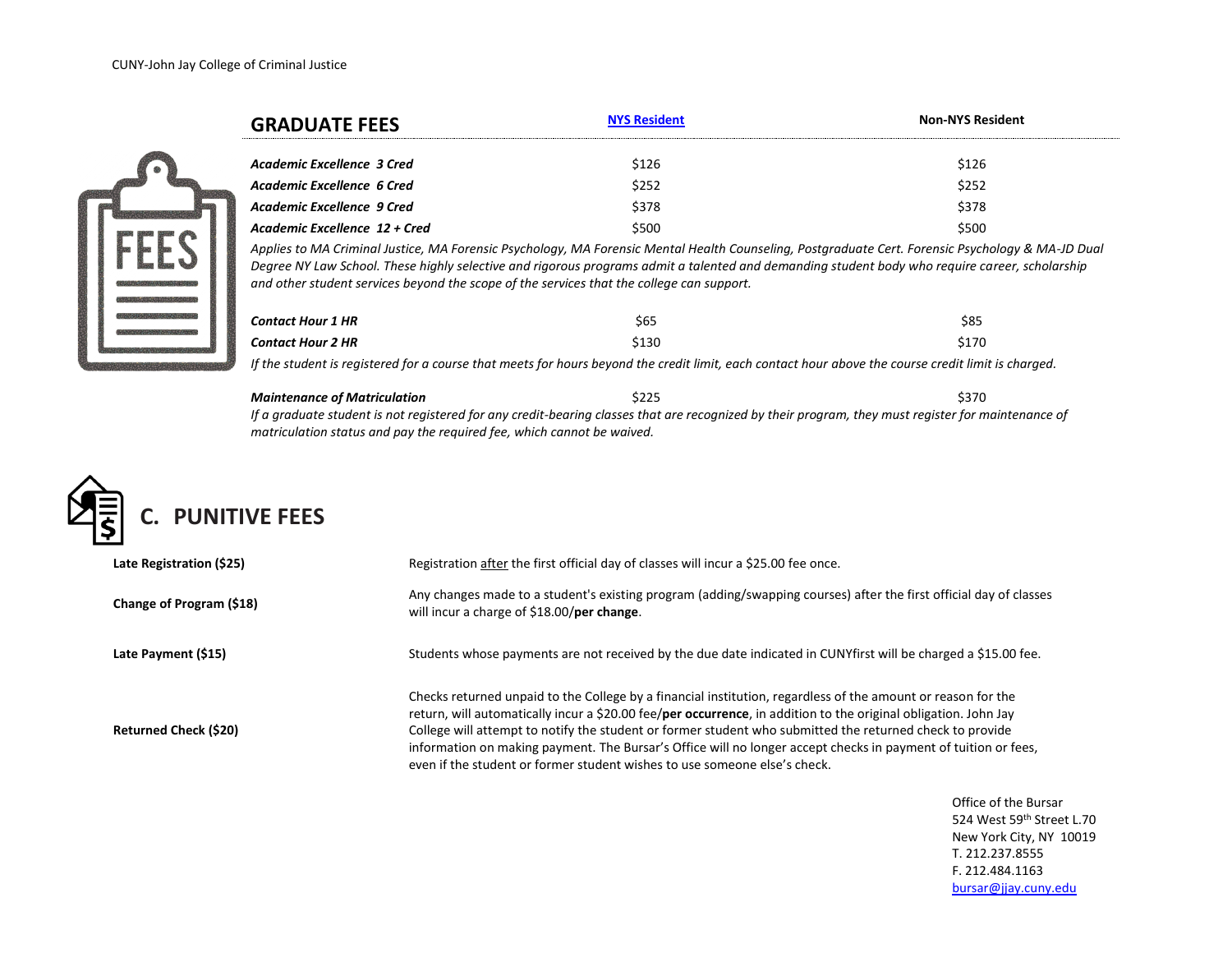|            | <b>GRADUATE FEES</b>          | <b>NYS Resident</b> | <b>Non-NYS Resident</b>                                                                                                                           |  |
|------------|-------------------------------|---------------------|---------------------------------------------------------------------------------------------------------------------------------------------------|--|
|            | Academic Excellence 3 Cred    | \$126               | \$126                                                                                                                                             |  |
|            | Academic Excellence 6 Cred    | \$252               | \$252                                                                                                                                             |  |
|            | Academic Excellence 9 Cred    | \$378               | \$378                                                                                                                                             |  |
|            | Academic Excellence 12 + Cred | \$500               | \$500                                                                                                                                             |  |
| <b>TEC</b> |                               |                     | Annlies to MA Criminal Justice, MA Forensic Psychology, MA Forensic Mental Health Counseling, Postaraduate Cert, Forensic Psychology & MA-ID Dual |  |

*Applies to MA Criminal Justice, MA Forensic Psychology, MA Forensic Mental Health Counseling, Postgraduate Cert. Forensic Psychology & MA-JD Dual Degree NY Law School. These highly selective and rigorous programs admit a talented and demanding student body who require career, scholarship and other student services beyond the scope of the services that the college can support.* 

| Contact Hour 1 HR | \$65  | \$85  |
|-------------------|-------|-------|
| Contact Hour 2 HR | \$130 | \$170 |

*If the student is registered for a course that meets for hours beyond the credit limit, each contact hour above the course credit limit is charged.*

*Maintenance of Matriculation*  $\frac{1}{225}$  \$370 *If a graduate student is not registered for any credit-bearing classes that are recognized by their program, they must register for maintenance of matriculation status and pay the required fee, which cannot be waived.*



<span id="page-2-0"></span>

| Late Registration (\$25)     | Registration after the first official day of classes will incur a \$25.00 fee once.                                                                                                                                                                                                                                                                                                                                                                                                                                                        |
|------------------------------|--------------------------------------------------------------------------------------------------------------------------------------------------------------------------------------------------------------------------------------------------------------------------------------------------------------------------------------------------------------------------------------------------------------------------------------------------------------------------------------------------------------------------------------------|
| Change of Program (\$18)     | Any changes made to a student's existing program (adding/swapping courses) after the first official day of classes<br>will incur a charge of \$18.00/per change.                                                                                                                                                                                                                                                                                                                                                                           |
| Late Payment (\$15)          | Students whose payments are not received by the due date indicated in CUNYfirst will be charged a \$15.00 fee.                                                                                                                                                                                                                                                                                                                                                                                                                             |
| <b>Returned Check (\$20)</b> | Checks returned unpaid to the College by a financial institution, regardless of the amount or reason for the<br>return, will automatically incur a \$20.00 fee/per occurrence, in addition to the original obligation. John Jay<br>College will attempt to notify the student or former student who submitted the returned check to provide<br>information on making payment. The Bursar's Office will no longer accept checks in payment of tuition or fees,<br>even if the student or former student wishes to use someone else's check. |

Office of the Bursar 524 West 59th Street L.70 New York City, NY 10019 T. 212.237.8555 F. 212.484.1163 [bursar@jjay.cuny.edu](mailto:bursar@jjay.cuny.edu)